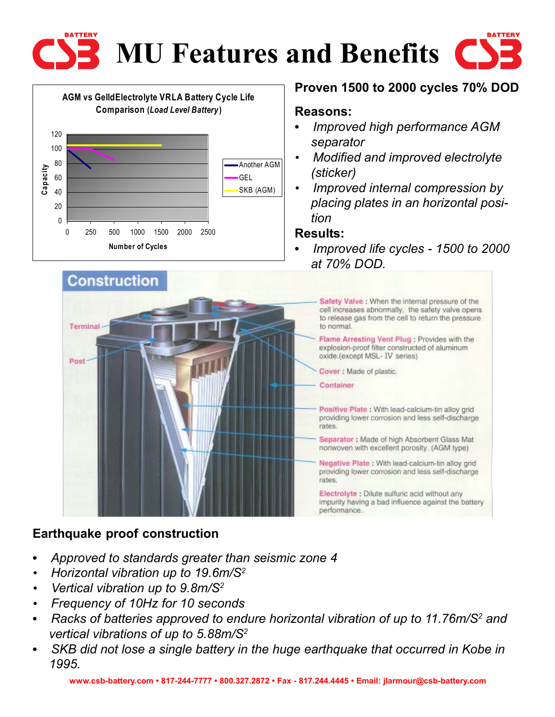



## **Proven 1500 to 2000 cycles 70% DOD**

#### **Reasons:**

- **•** *Improved high performance AGM separator*
- *• Modified and improved electrolyte (sticker)*
- *• Improved internal compression by placing plates in an horizontal position*

#### **Results:**

**•** *Improved life cycles - 1500 to 2000 at 70% DOD.*



### **Earthquake proof construction**

- **•** *Approved to standards greater than seismic zone 4*
- *• Horizontal vibration up to 19.6m/S2*
- *• Vertical vibration up to 9.8m/S2*
- *• Frequency of 10Hz for 10 seconds*
- Racks of batteries approved to endure horizontal vibration of up to 11.76m/S<sup>2</sup> and *vertical vibrations of up to 5.88m/S2*
- **•** *SKB did not lose a single battery in the huge earthquake that occurred in Kobe in 1995.*